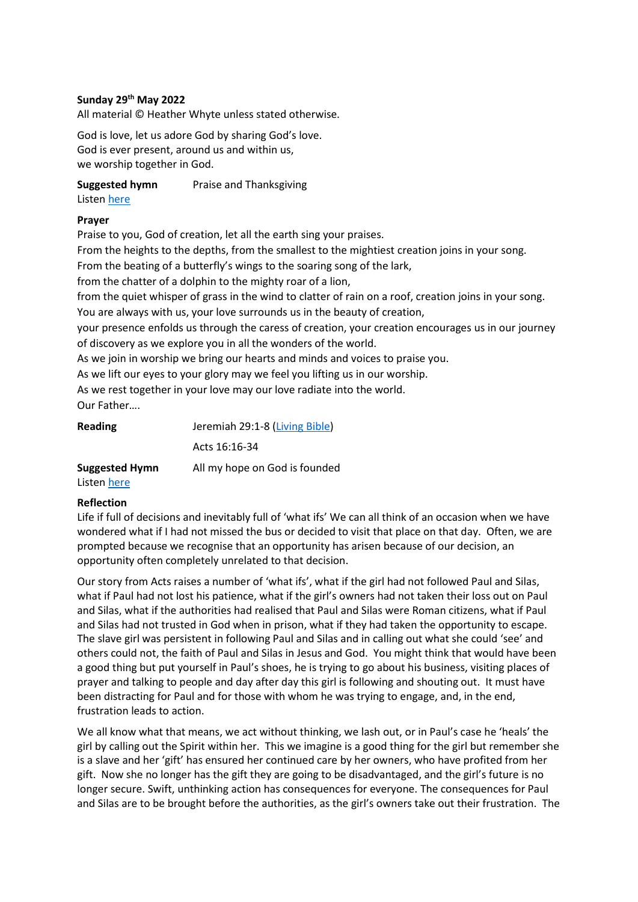## **Sunday 29th May 2022**

All material © Heather Whyte unless stated otherwise.

God is love, let us adore God by sharing God's love. God is ever present, around us and within us, we worship together in God.

**Suggested hymn** Praise and Thanksgiving

## Listen [here](https://www.youtube.com/watch?v=zjRf3_QZQWE)

## **Prayer**

Praise to you, God of creation, let all the earth sing your praises.

From the heights to the depths, from the smallest to the mightiest creation joins in your song.

From the beating of a butterfly's wings to the soaring song of the lark,

from the chatter of a dolphin to the mighty roar of a lion,

from the quiet whisper of grass in the wind to clatter of rain on a roof, creation joins in your song. You are always with us, your love surrounds us in the beauty of creation,

your presence enfolds us through the caress of creation, your creation encourages us in our journey of discovery as we explore you in all the wonders of the world.

As we join in worship we bring our hearts and minds and voices to praise you.

As we lift our eyes to your glory may we feel you lifting us in our worship.

As we rest together in your love may our love radiate into the world.

Our Father….

| <b>Reading</b>        | Jeremiah 29:1-8 (Living Bible) |  |
|-----------------------|--------------------------------|--|
|                       | Acts 16:16-34                  |  |
| <b>Suggested Hymn</b> | All my hope on God is founded  |  |

## Listen [here](https://www.youtube.com/watch?v=_WH1QlNoiCM)

## **Reflection**

Life if full of decisions and inevitably full of 'what ifs' We can all think of an occasion when we have wondered what if I had not missed the bus or decided to visit that place on that day. Often, we are prompted because we recognise that an opportunity has arisen because of our decision, an opportunity often completely unrelated to that decision.

Our story from Acts raises a number of 'what ifs', what if the girl had not followed Paul and Silas, what if Paul had not lost his patience, what if the girl's owners had not taken their loss out on Paul and Silas, what if the authorities had realised that Paul and Silas were Roman citizens, what if Paul and Silas had not trusted in God when in prison, what if they had taken the opportunity to escape. The slave girl was persistent in following Paul and Silas and in calling out what she could 'see' and others could not, the faith of Paul and Silas in Jesus and God. You might think that would have been a good thing but put yourself in Paul's shoes, he is trying to go about his business, visiting places of prayer and talking to people and day after day this girl is following and shouting out. It must have been distracting for Paul and for those with whom he was trying to engage, and, in the end, frustration leads to action.

We all know what that means, we act without thinking, we lash out, or in Paul's case he 'heals' the girl by calling out the Spirit within her. This we imagine is a good thing for the girl but remember she is a slave and her 'gift' has ensured her continued care by her owners, who have profited from her gift. Now she no longer has the gift they are going to be disadvantaged, and the girl's future is no longer secure. Swift, unthinking action has consequences for everyone. The consequences for Paul and Silas are to be brought before the authorities, as the girl's owners take out their frustration. The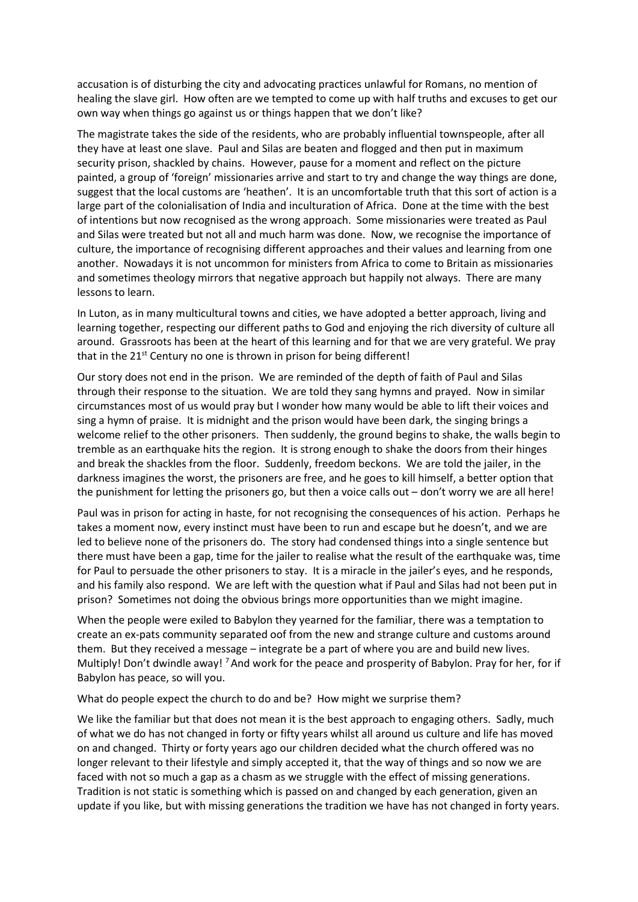accusation is of disturbing the city and advocating practices unlawful for Romans, no mention of healing the slave girl. How often are we tempted to come up with half truths and excuses to get our own way when things go against us or things happen that we don't like?

The magistrate takes the side of the residents, who are probably influential townspeople, after all they have at least one slave. Paul and Silas are beaten and flogged and then put in maximum security prison, shackled by chains. However, pause for a moment and reflect on the picture painted, a group of 'foreign' missionaries arrive and start to try and change the way things are done, suggest that the local customs are 'heathen'. It is an uncomfortable truth that this sort of action is a large part of the colonialisation of India and inculturation of Africa. Done at the time with the best of intentions but now recognised as the wrong approach. Some missionaries were treated as Paul and Silas were treated but not all and much harm was done. Now, we recognise the importance of culture, the importance of recognising different approaches and their values and learning from one another. Nowadays it is not uncommon for ministers from Africa to come to Britain as missionaries and sometimes theology mirrors that negative approach but happily not always. There are many lessons to learn.

In Luton, as in many multicultural towns and cities, we have adopted a better approach, living and learning together, respecting our different paths to God and enjoying the rich diversity of culture all around. Grassroots has been at the heart of this learning and for that we are very grateful. We pray that in the  $21^{st}$  Century no one is thrown in prison for being different!

Our story does not end in the prison. We are reminded of the depth of faith of Paul and Silas through their response to the situation. We are told they sang hymns and prayed. Now in similar circumstances most of us would pray but I wonder how many would be able to lift their voices and sing a hymn of praise. It is midnight and the prison would have been dark, the singing brings a welcome relief to the other prisoners. Then suddenly, the ground begins to shake, the walls begin to tremble as an earthquake hits the region. It is strong enough to shake the doors from their hinges and break the shackles from the floor. Suddenly, freedom beckons. We are told the jailer, in the darkness imagines the worst, the prisoners are free, and he goes to kill himself, a better option that the punishment for letting the prisoners go, but then a voice calls out – don't worry we are all here!

Paul was in prison for acting in haste, for not recognising the consequences of his action. Perhaps he takes a moment now, every instinct must have been to run and escape but he doesn't, and we are led to believe none of the prisoners do. The story had condensed things into a single sentence but there must have been a gap, time for the jailer to realise what the result of the earthquake was, time for Paul to persuade the other prisoners to stay. It is a miracle in the jailer's eyes, and he responds, and his family also respond. We are left with the question what if Paul and Silas had not been put in prison? Sometimes not doing the obvious brings more opportunities than we might imagine.

When the people were exiled to Babylon they yearned for the familiar, there was a temptation to create an ex-pats community separated oof from the new and strange culture and customs around them. But they received a message – integrate be a part of where you are and build new lives. Multiply! Don't dwindle away! <sup>7</sup> And work for the peace and prosperity of Babylon. Pray for her, for if Babylon has peace, so will you.

What do people expect the church to do and be? How might we surprise them?

We like the familiar but that does not mean it is the best approach to engaging others. Sadly, much of what we do has not changed in forty or fifty years whilst all around us culture and life has moved on and changed. Thirty or forty years ago our children decided what the church offered was no longer relevant to their lifestyle and simply accepted it, that the way of things and so now we are faced with not so much a gap as a chasm as we struggle with the effect of missing generations. Tradition is not static is something which is passed on and changed by each generation, given an update if you like, but with missing generations the tradition we have has not changed in forty years.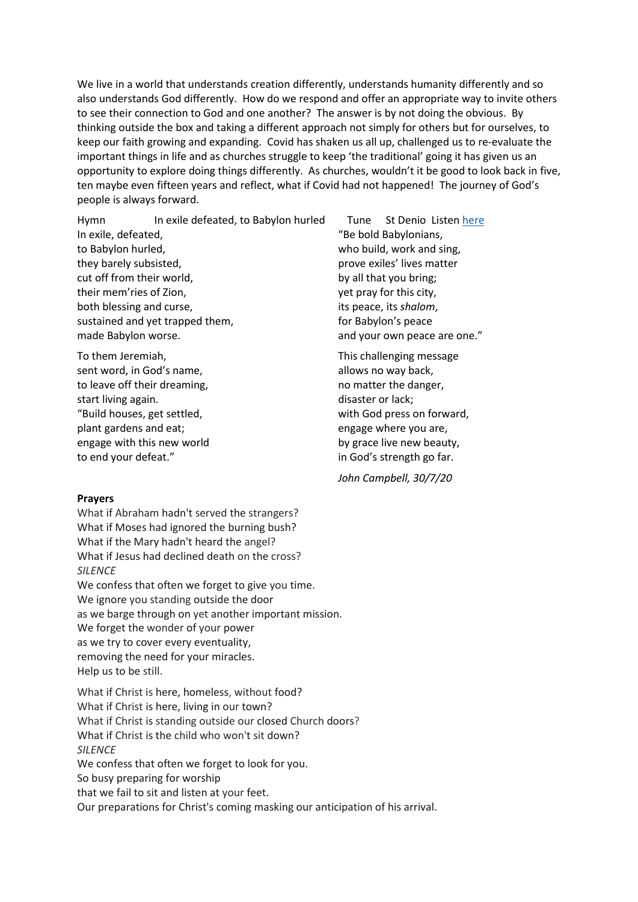We live in a world that understands creation differently, understands humanity differently and so also understands God differently. How do we respond and offer an appropriate way to invite others to see their connection to God and one another? The answer is by not doing the obvious. By thinking outside the box and taking a different approach not simply for others but for ourselves, to keep our faith growing and expanding. Covid has shaken us all up, challenged us to re-evaluate the important things in life and as churches struggle to keep 'the traditional' going it has given us an opportunity to explore doing things differently. As churches, wouldn't it be good to look back in five, ten maybe even fifteen years and reflect, what if Covid had not happened! The journey of God's people is always forward.

Hymn In exile defeated, to Babylon hurled Tune St Denio Liste[n here](https://www.youtube.com/watch?v=HUmu8lAlzow) In exile, defeated, to Babylon hurled, they barely subsisted, cut off from their world, their mem'ries of Zion, both blessing and curse, sustained and yet trapped them, made Babylon worse.

To them Jeremiah, sent word, in God's name, to leave off their dreaming, start living again. "Build houses, get settled, plant gardens and eat; engage with this new world to end your defeat."

"Be bold Babylonians, who build, work and sing, prove exiles' lives matter by all that you bring; yet pray for this city, its peace, its *shalom*, for Babylon's peace and your own peace are one."

This challenging message allows no way back, no matter the danger, disaster or lack; with God press on forward, engage where you are, by grace live new beauty, in God's strength go far.

*John Campbell, 30/7/20*

#### **Prayers**

What if Abraham hadn't served the strangers? What if Moses had ignored the burning bush? What if the Mary hadn't heard the angel? What if Jesus had declined death on the cross? *SILENCE* We confess that often we forget to give you time. We ignore you standing outside the door as we barge through on yet another important mission. We forget the wonder of your power as we try to cover every eventuality, removing the need for your miracles. Help us to be still.

What if Christ is here, homeless, without food? What if Christ is here, living in our town? What if Christ is standing outside our closed Church doors? What if Christ is the child who won't sit down? *SILENCE* We confess that often we forget to look for you. So busy preparing for worship that we fail to sit and listen at your feet. Our preparations for Christ's coming masking our anticipation of his arrival.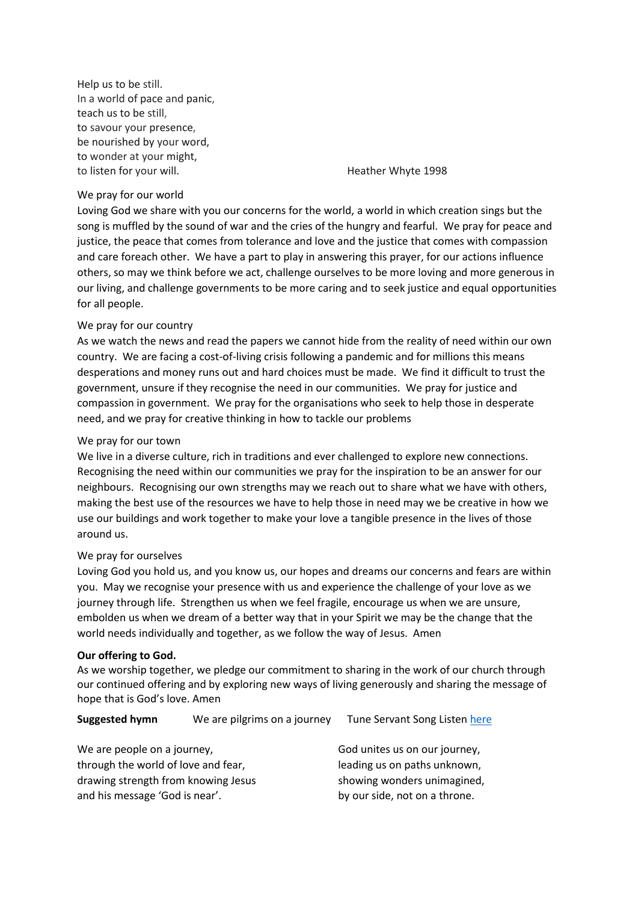Help us to be still. In a world of pace and panic, teach us to be still, to savour your presence, be nourished by your word, to wonder at your might, to listen for your will. The same state of the Heather Whyte 1998

#### We pray for our world

Loving God we share with you our concerns for the world, a world in which creation sings but the song is muffled by the sound of war and the cries of the hungry and fearful. We pray for peace and justice, the peace that comes from tolerance and love and the justice that comes with compassion and care foreach other. We have a part to play in answering this prayer, for our actions influence others, so may we think before we act, challenge ourselves to be more loving and more generous in our living, and challenge governments to be more caring and to seek justice and equal opportunities for all people.

#### We pray for our country

As we watch the news and read the papers we cannot hide from the reality of need within our own country. We are facing a cost-of-living crisis following a pandemic and for millions this means desperations and money runs out and hard choices must be made. We find it difficult to trust the government, unsure if they recognise the need in our communities. We pray for justice and compassion in government. We pray for the organisations who seek to help those in desperate need, and we pray for creative thinking in how to tackle our problems

#### We pray for our town

We live in a diverse culture, rich in traditions and ever challenged to explore new connections. Recognising the need within our communities we pray for the inspiration to be an answer for our neighbours. Recognising our own strengths may we reach out to share what we have with others, making the best use of the resources we have to help those in need may we be creative in how we use our buildings and work together to make your love a tangible presence in the lives of those around us.

#### We pray for ourselves

Loving God you hold us, and you know us, our hopes and dreams our concerns and fears are within you. May we recognise your presence with us and experience the challenge of your love as we journey through life. Strengthen us when we feel fragile, encourage us when we are unsure, embolden us when we dream of a better way that in your Spirit we may be the change that the world needs individually and together, as we follow the way of Jesus. Amen

#### **Our offering to God.**

As we worship together, we pledge our commitment to sharing in the work of our church through our continued offering and by exploring new ways of living generously and sharing the message of hope that is God's love. Amen

**Suggested hymn** We are pilgrims on a journey Tune Servant Song Liste[n here](https://www.youtube.com/watch?v=W5BRmOplbv8)

| We are people on a journey,         | God unites us on our journey, |
|-------------------------------------|-------------------------------|
| through the world of love and fear, | leading us on paths unknown,  |
| drawing strength from knowing Jesus | showing wonders unimagined,   |
| and his message 'God is near'.      | by our side, not on a throne. |